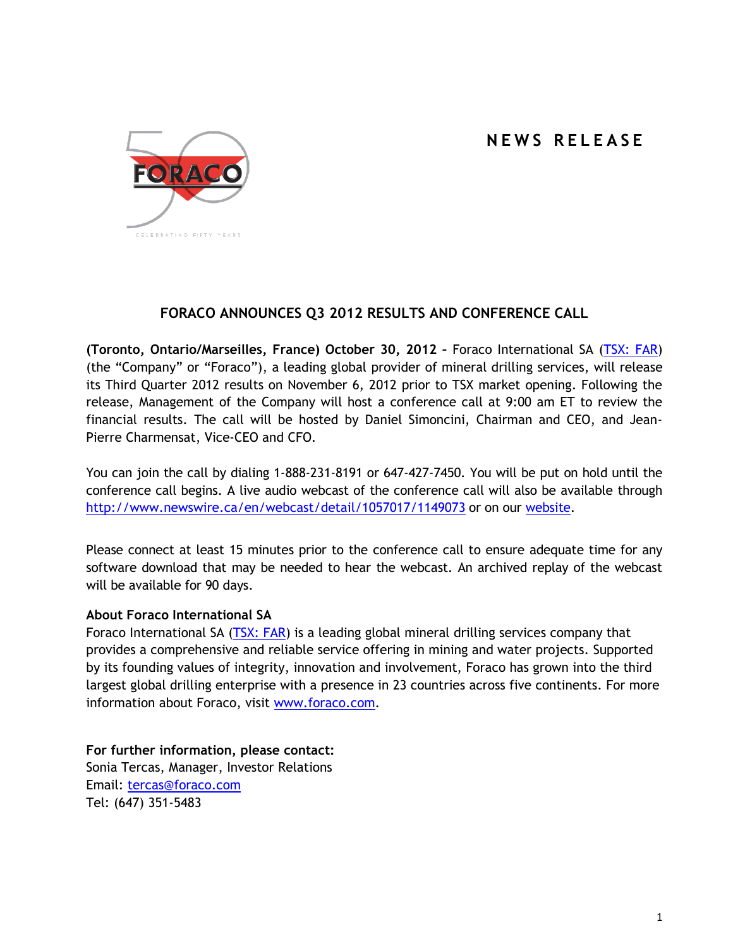## **N E W S R E L E A S E**



## **FORACO ANNOUNCES Q3 2012 RESULTS AND CONFERENCE CALL**

**(Toronto, Ontario/Marseilles, France) October 30, 2012 –** Foraco International SA [\(TSX: FAR\)](http://tmx.quotemedia.com/quote.php?qm_symbol=FAR) (the "Company" or "Foraco"), a leading global provider of mineral drilling services, will release its Third Quarter 2012 results on November 6, 2012 prior to TSX market opening. Following the release, Management of the Company will host a conference call at 9:00 am ET to review the financial results. The call will be hosted by Daniel Simoncini, Chairman and CEO, and Jean-Pierre Charmensat, Vice-CEO and CFO.

You can join the call by dialing 1-888-231-8191 or 647-427-7450. You will be put on hold until the conference call begins. A live audio webcast of the conference call will also be available through <http://www.newswire.ca/en/webcast/detail/1057017/1149073> or on our [website.](http://www.foraco.com/index.php/investors/events-a-earnings-calendar)

Please connect at least 15 minutes prior to the conference call to ensure adequate time for any software download that may be needed to hear the webcast. An archived replay of the webcast will be available for 90 days.

## **About Foraco International SA**

Foraco International SA [\(TSX: FAR\)](http://tmx.quotemedia.com/quote.php?qm_symbol=FAR) is a leading global mineral drilling services company that provides a comprehensive and reliable service offering in mining and water projects. Supported by its founding values of integrity, innovation and involvement, Foraco has grown into the third largest global drilling enterprise with a presence in 23 countries across five continents. For more information about Foraco, visit [www.foraco.com.](http://www.foraco.com/)

**For further information, please contact:** Sonia Tercas, Manager, Investor Relations Email: [tercas@foraco.com](mailto:tercas@foraco.com) Tel: (647) 351-5483